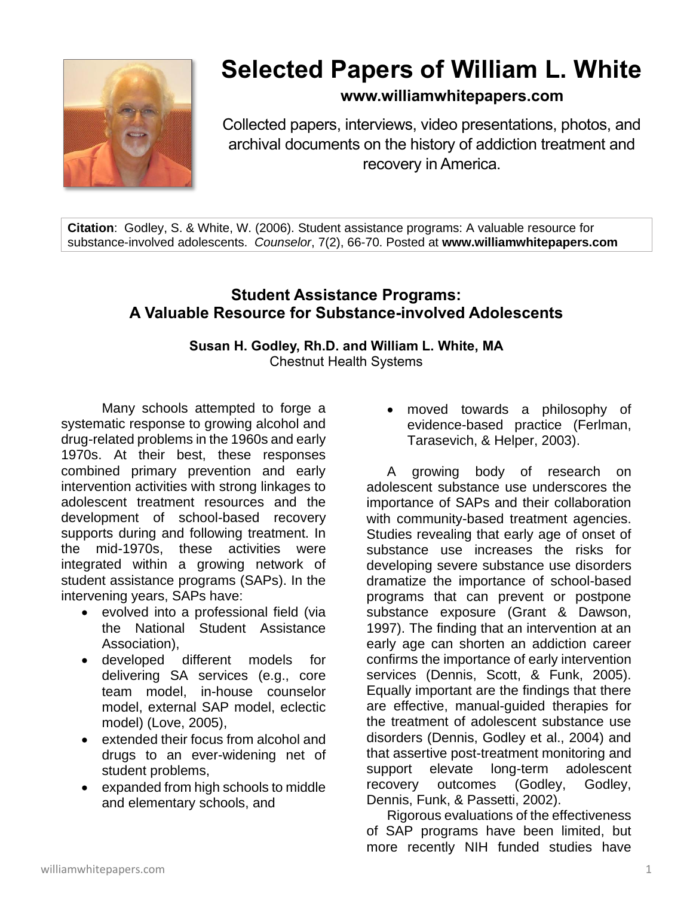

# **Selected Papers of William L. White**

# **www.williamwhitepapers.com**

Collected papers, interviews, video presentations, photos, and archival documents on the history of addiction treatment and recovery in America.

**Citation**: Godley, S. & White, W. (2006). Student assistance programs: A valuable resource for substance-involved adolescents. *Counselor*, 7(2), 66-70. Posted at **www.williamwhitepapers.com**

# **Student Assistance Programs: A Valuable Resource for Substance-involved Adolescents**

**Susan H. Godley, Rh.D. and William L. White, MA**  Chestnut Health Systems

Many schools attempted to forge a systematic response to growing alcohol and drug-related problems in the 1960s and early 1970s. At their best, these responses combined primary prevention and early intervention activities with strong linkages to adolescent treatment resources and the development of school-based recovery supports during and following treatment. In the mid-1970s, these activities were integrated within a growing network of student assistance programs (SAPs). In the intervening years, SAPs have:

- evolved into a professional field (via the National Student Assistance Association),
- developed different models for delivering SA services (e.g., core team model, in-house counselor model, external SAP model, eclectic model) (Love, 2005),
- extended their focus from alcohol and drugs to an ever-widening net of student problems,
- expanded from high schools to middle and elementary schools, and

• moved towards a philosophy of evidence-based practice (Ferlman, Tarasevich, & Helper, 2003).

A growing body of research on adolescent substance use underscores the importance of SAPs and their collaboration with community-based treatment agencies. Studies revealing that early age of onset of substance use increases the risks for developing severe substance use disorders dramatize the importance of school-based programs that can prevent or postpone substance exposure (Grant & Dawson, 1997). The finding that an intervention at an early age can shorten an addiction career confirms the importance of early intervention services (Dennis, Scott, & Funk, 2005). Equally important are the findings that there are effective, manual-guided therapies for the treatment of adolescent substance use disorders (Dennis, Godley et al., 2004) and that assertive post-treatment monitoring and support elevate long-term adolescent recovery outcomes (Godley, Godley, Dennis, Funk, & Passetti, 2002).

Rigorous evaluations of the effectiveness of SAP programs have been limited, but more recently NIH funded studies have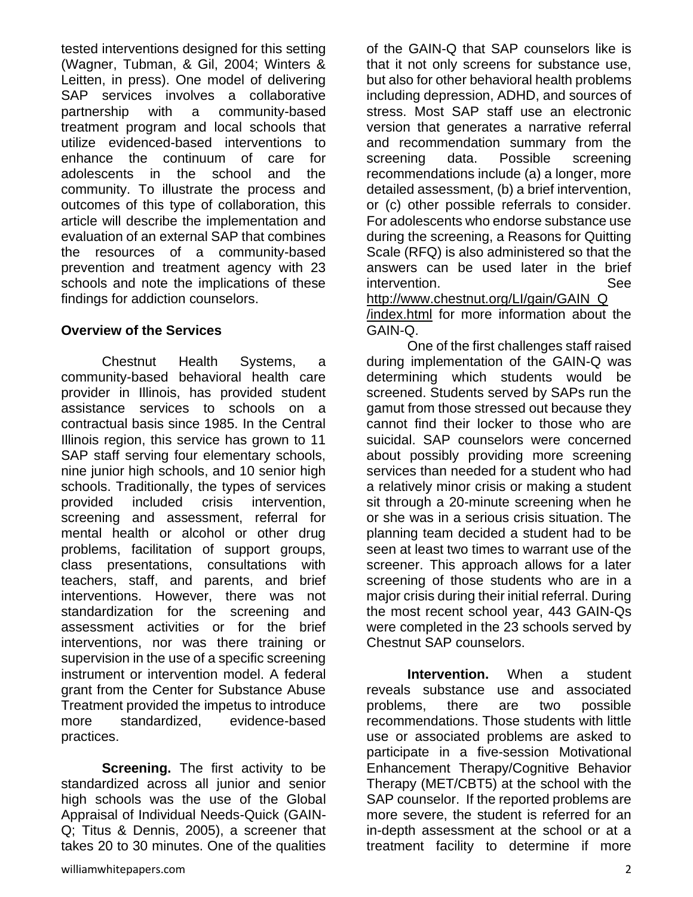tested interventions designed for this setting (Wagner, Tubman, & Gil, 2004; Winters & Leitten, in press). One model of delivering SAP services involves a collaborative partnership with a community-based treatment program and local schools that utilize evidenced-based interventions to enhance the continuum of care for adolescents in the school and the community. To illustrate the process and outcomes of this type of collaboration, this article will describe the implementation and evaluation of an external SAP that combines the resources of a community-based prevention and treatment agency with 23 schools and note the implications of these findings for addiction counselors.

#### **Overview of the Services**

Chestnut Health Systems, a community-based behavioral health care provider in Illinois, has provided student assistance services to schools on a contractual basis since 1985. In the Central Illinois region, this service has grown to 11 SAP staff serving four elementary schools, nine junior high schools, and 10 senior high schools. Traditionally, the types of services provided included crisis intervention, screening and assessment, referral for mental health or alcohol or other drug problems, facilitation of support groups, class presentations, consultations with teachers, staff, and parents, and brief interventions. However, there was not standardization for the screening and assessment activities or for the brief interventions, nor was there training or supervision in the use of a specific screening instrument or intervention model. A federal grant from the Center for Substance Abuse Treatment provided the impetus to introduce more standardized, evidence-based practices.

**Screening.** The first activity to be standardized across all junior and senior high schools was the use of the Global Appraisal of Individual Needs-Quick (GAIN-Q; Titus & Dennis, 2005), a screener that takes 20 to 30 minutes. One of the qualities

of the GAIN-Q that SAP counselors like is that it not only screens for substance use, but also for other behavioral health problems including depression, ADHD, and sources of stress. Most SAP staff use an electronic version that generates a narrative referral and recommendation summary from the screening data. Possible screening recommendations include (a) a longer, more detailed assessment, (b) a brief intervention, or (c) other possible referrals to consider. For adolescents who endorse substance use during the screening, a Reasons for Quitting Scale (RFQ) is also administered so that the answers can be used later in the brief intervention. See See [http://www.chestnut.org/LI/gain/GAIN\\_Q](http://www.chestnut.org/LI/gain/GAIN_Q) /index.html for more information about the

GAIN-Q. One of the first challenges staff raised during implementation of the GAIN-Q was determining which students would be screened. Students served by SAPs run the gamut from those stressed out because they cannot find their locker to those who are suicidal. SAP counselors were concerned about possibly providing more screening services than needed for a student who had a relatively minor crisis or making a student sit through a 20-minute screening when he or she was in a serious crisis situation. The planning team decided a student had to be seen at least two times to warrant use of the screener. This approach allows for a later screening of those students who are in a major crisis during their initial referral. During the most recent school year, 443 GAIN-Qs were completed in the 23 schools served by Chestnut SAP counselors.

**Intervention.** When a student reveals substance use and associated problems, there are two possible recommendations. Those students with little use or associated problems are asked to participate in a five-session Motivational Enhancement Therapy/Cognitive Behavior Therapy (MET/CBT5) at the school with the SAP counselor. If the reported problems are more severe, the student is referred for an in-depth assessment at the school or at a treatment facility to determine if more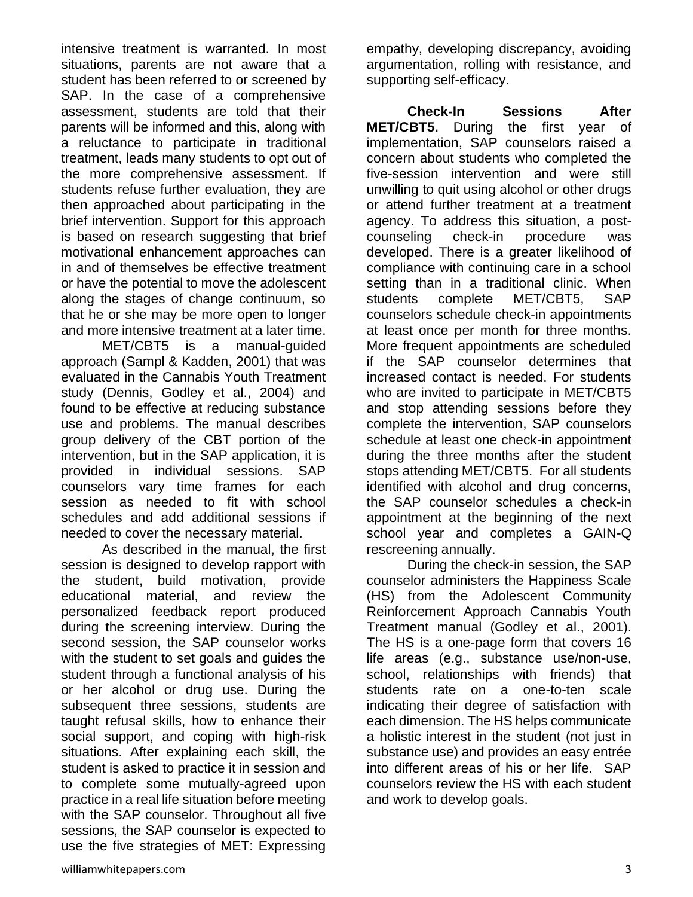intensive treatment is warranted. In most situations, parents are not aware that a student has been referred to or screened by SAP. In the case of a comprehensive assessment, students are told that their parents will be informed and this, along with a reluctance to participate in traditional treatment, leads many students to opt out of the more comprehensive assessment. If students refuse further evaluation, they are then approached about participating in the brief intervention. Support for this approach is based on research suggesting that brief motivational enhancement approaches can in and of themselves be effective treatment or have the potential to move the adolescent along the stages of change continuum, so that he or she may be more open to longer and more intensive treatment at a later time.

MET/CBT5 is a manual-guided approach (Sampl & Kadden, 2001) that was evaluated in the Cannabis Youth Treatment study (Dennis, Godley et al., 2004) and found to be effective at reducing substance use and problems. The manual describes group delivery of the CBT portion of the intervention, but in the SAP application, it is provided in individual sessions. SAP counselors vary time frames for each session as needed to fit with school schedules and add additional sessions if needed to cover the necessary material.

As described in the manual, the first session is designed to develop rapport with the student, build motivation, provide educational material, and review the personalized feedback report produced during the screening interview. During the second session, the SAP counselor works with the student to set goals and guides the student through a functional analysis of his or her alcohol or drug use. During the subsequent three sessions, students are taught refusal skills, how to enhance their social support, and coping with high-risk situations. After explaining each skill, the student is asked to practice it in session and to complete some mutually-agreed upon practice in a real life situation before meeting with the SAP counselor. Throughout all five sessions, the SAP counselor is expected to use the five strategies of MET: Expressing

empathy, developing discrepancy, avoiding argumentation, rolling with resistance, and supporting self-efficacy.

**Check-In Sessions After MET/CBT5.** During the first year of implementation, SAP counselors raised a concern about students who completed the five-session intervention and were still unwilling to quit using alcohol or other drugs or attend further treatment at a treatment agency. To address this situation, a postcounseling check-in procedure was developed. There is a greater likelihood of compliance with continuing care in a school setting than in a traditional clinic. When students complete MET/CBT5, SAP counselors schedule check-in appointments at least once per month for three months. More frequent appointments are scheduled if the SAP counselor determines that increased contact is needed. For students who are invited to participate in MET/CBT5 and stop attending sessions before they complete the intervention, SAP counselors schedule at least one check-in appointment during the three months after the student stops attending MET/CBT5. For all students identified with alcohol and drug concerns, the SAP counselor schedules a check-in appointment at the beginning of the next school year and completes a GAIN-Q rescreening annually.

During the check-in session, the SAP counselor administers the Happiness Scale (HS) from the Adolescent Community Reinforcement Approach Cannabis Youth Treatment manual (Godley et al., 2001). The HS is a one-page form that covers 16 life areas (e.g., substance use/non-use, school, relationships with friends) that students rate on a one-to-ten scale indicating their degree of satisfaction with each dimension. The HS helps communicate a holistic interest in the student (not just in substance use) and provides an easy entrée into different areas of his or her life. SAP counselors review the HS with each student and work to develop goals.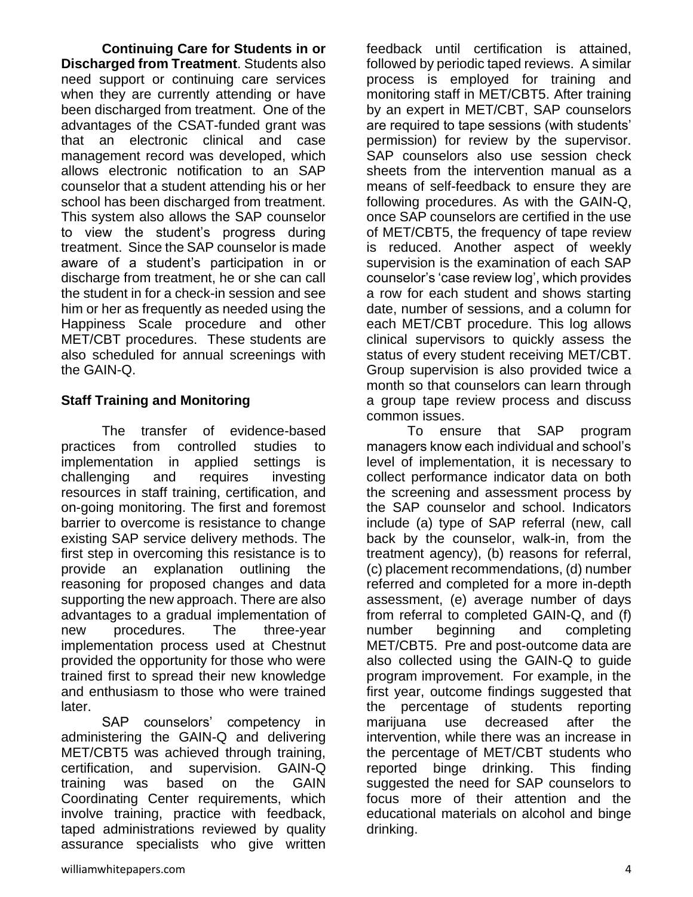**Continuing Care for Students in or Discharged from Treatment**. Students also need support or continuing care services when they are currently attending or have been discharged from treatment. One of the advantages of the CSAT-funded grant was that an electronic clinical and case management record was developed, which allows electronic notification to an SAP counselor that a student attending his or her school has been discharged from treatment. This system also allows the SAP counselor to view the student's progress during treatment. Since the SAP counselor is made aware of a student's participation in or discharge from treatment, he or she can call the student in for a check-in session and see him or her as frequently as needed using the Happiness Scale procedure and other MET/CBT procedures. These students are also scheduled for annual screenings with the GAIN-Q.

## **Staff Training and Monitoring**

The transfer of evidence-based practices from controlled studies to implementation in applied settings is challenging and requires investing resources in staff training, certification, and on-going monitoring. The first and foremost barrier to overcome is resistance to change existing SAP service delivery methods. The first step in overcoming this resistance is to provide an explanation outlining the reasoning for proposed changes and data supporting the new approach. There are also advantages to a gradual implementation of new procedures. The three-year implementation process used at Chestnut provided the opportunity for those who were trained first to spread their new knowledge and enthusiasm to those who were trained later.

SAP counselors' competency in administering the GAIN-Q and delivering MET/CBT5 was achieved through training, certification, and supervision. GAIN-Q training was based on the GAIN Coordinating Center requirements, which involve training, practice with feedback, taped administrations reviewed by quality assurance specialists who give written feedback until certification is attained, followed by periodic taped reviews. A similar process is employed for training and monitoring staff in MET/CBT5. After training by an expert in MET/CBT, SAP counselors are required to tape sessions (with students' permission) for review by the supervisor. SAP counselors also use session check sheets from the intervention manual as a means of self-feedback to ensure they are following procedures. As with the GAIN-Q, once SAP counselors are certified in the use of MET/CBT5, the frequency of tape review is reduced. Another aspect of weekly supervision is the examination of each SAP counselor's 'case review log', which provides a row for each student and shows starting date, number of sessions, and a column for each MET/CBT procedure. This log allows clinical supervisors to quickly assess the status of every student receiving MET/CBT. Group supervision is also provided twice a month so that counselors can learn through a group tape review process and discuss common issues.

To ensure that SAP program managers know each individual and school's level of implementation, it is necessary to collect performance indicator data on both the screening and assessment process by the SAP counselor and school. Indicators include (a) type of SAP referral (new, call back by the counselor, walk-in, from the treatment agency), (b) reasons for referral, (c) placement recommendations, (d) number referred and completed for a more in-depth assessment, (e) average number of days from referral to completed GAIN-Q, and (f) number beginning and completing MET/CBT5. Pre and post-outcome data are also collected using the GAIN-Q to guide program improvement. For example, in the first year, outcome findings suggested that the percentage of students reporting marijuana use decreased after the intervention, while there was an increase in the percentage of MET/CBT students who reported binge drinking. This finding suggested the need for SAP counselors to focus more of their attention and the educational materials on alcohol and binge drinking.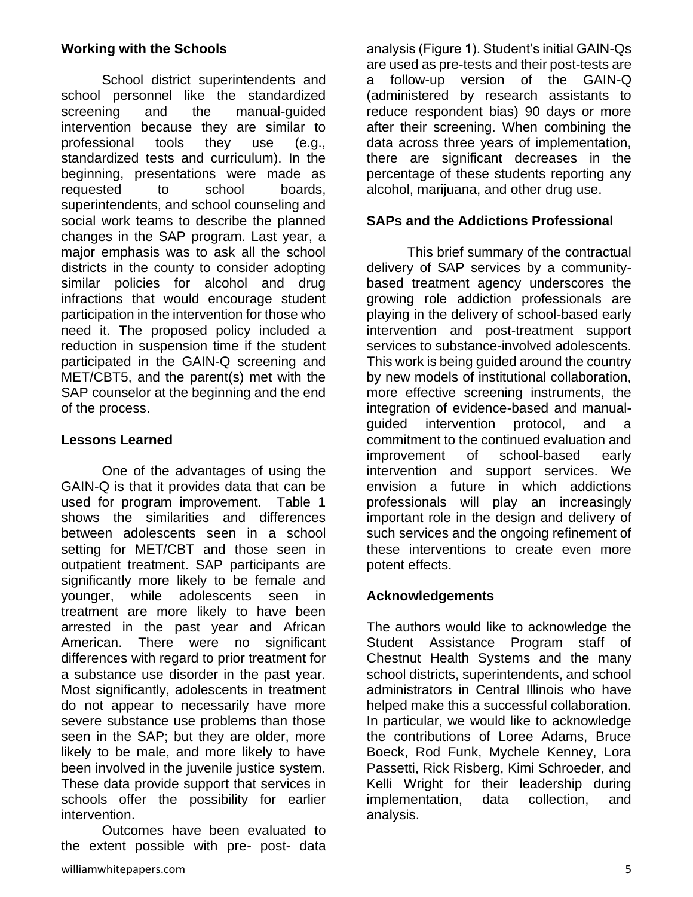### **Working with the Schools**

School district superintendents and school personnel like the standardized screening and the manual-guided intervention because they are similar to professional tools they use (e.g., standardized tests and curriculum). In the beginning, presentations were made as requested to school boards, superintendents, and school counseling and social work teams to describe the planned changes in the SAP program. Last year, a major emphasis was to ask all the school districts in the county to consider adopting similar policies for alcohol and drug infractions that would encourage student participation in the intervention for those who need it. The proposed policy included a reduction in suspension time if the student participated in the GAIN-Q screening and MET/CBT5, and the parent(s) met with the SAP counselor at the beginning and the end of the process.

## **Lessons Learned**

One of the advantages of using the GAIN-Q is that it provides data that can be used for program improvement. Table 1 shows the similarities and differences between adolescents seen in a school setting for MET/CBT and those seen in outpatient treatment. SAP participants are significantly more likely to be female and younger, while adolescents seen in treatment are more likely to have been arrested in the past year and African American. There were no significant differences with regard to prior treatment for a substance use disorder in the past year. Most significantly, adolescents in treatment do not appear to necessarily have more severe substance use problems than those seen in the SAP; but they are older, more likely to be male, and more likely to have been involved in the juvenile justice system. These data provide support that services in schools offer the possibility for earlier intervention.

Outcomes have been evaluated to the extent possible with pre- post- data analysis (Figure 1). Student's initial GAIN-Qs are used as pre-tests and their post-tests are a follow-up version of the GAIN-Q (administered by research assistants to reduce respondent bias) 90 days or more after their screening. When combining the data across three years of implementation, there are significant decreases in the percentage of these students reporting any alcohol, marijuana, and other drug use.

#### **SAPs and the Addictions Professional**

This brief summary of the contractual delivery of SAP services by a communitybased treatment agency underscores the growing role addiction professionals are playing in the delivery of school-based early intervention and post-treatment support services to substance-involved adolescents. This work is being guided around the country by new models of institutional collaboration, more effective screening instruments, the integration of evidence-based and manualguided intervention protocol, and a commitment to the continued evaluation and improvement of school-based early intervention and support services. We envision a future in which addictions professionals will play an increasingly important role in the design and delivery of such services and the ongoing refinement of these interventions to create even more potent effects.

#### **Acknowledgements**

The authors would like to acknowledge the Student Assistance Program staff of Chestnut Health Systems and the many school districts, superintendents, and school administrators in Central Illinois who have helped make this a successful collaboration. In particular, we would like to acknowledge the contributions of Loree Adams, Bruce Boeck, Rod Funk, Mychele Kenney, Lora Passetti, Rick Risberg, Kimi Schroeder, and Kelli Wright for their leadership during implementation, data collection, and analysis.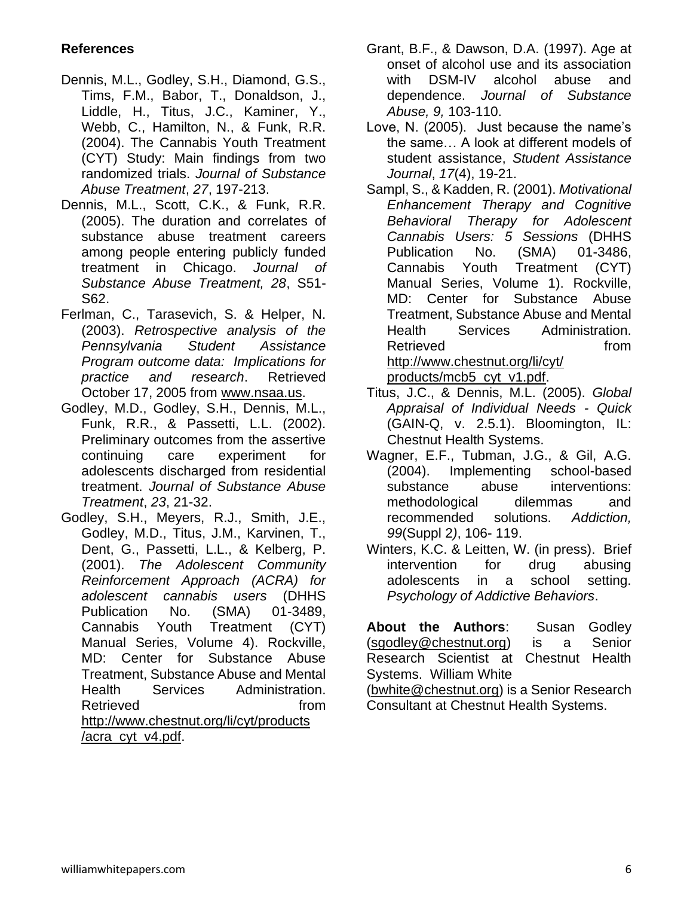## **References**

- Dennis, M.L., Godley, S.H., Diamond, G.S., Tims, F.M., Babor, T., Donaldson, J., Liddle, H., Titus, J.C., Kaminer, Y., Webb, C., Hamilton, N., & Funk, R.R. (2004). The Cannabis Youth Treatment (CYT) Study: Main findings from two randomized trials. *Journal of Substance Abuse Treatment*, *27*, 197-213.
- Dennis, M.L., Scott, C.K., & Funk, R.R. (2005). The duration and correlates of substance abuse treatment careers among people entering publicly funded treatment in Chicago. *Journal of Substance Abuse Treatment, 28*, S51- S62.
- Ferlman, C., Tarasevich, S. & Helper, N. (2003). *Retrospective analysis of the Pennsylvania Student Assistance Program outcome data: Implications for practice and research*. Retrieved October 17, 2005 from [www.nsaa.us.](http://www.nsaa.us/)
- Godley, M.D., Godley, S.H., Dennis, M.L., Funk, R.R., & Passetti, L.L. (2002). Preliminary outcomes from the assertive continuing care experiment for adolescents discharged from residential treatment. *Journal of Substance Abuse Treatment*, *23*, 21-32.
- Godley, S.H., Meyers, R.J., Smith, J.E., Godley, M.D., Titus, J.M., Karvinen, T., Dent, G., Passetti, L.L., & Kelberg, P. (2001). *The Adolescent Community Reinforcement Approach (ACRA) for adolescent cannabis users* (DHHS Publication No. (SMA) 01-3489, Cannabis Youth Treatment (CYT) Manual Series, Volume 4). Rockville, MD: Center for Substance Abuse Treatment, Substance Abuse and Mental Health Services Administration. Retrieved from from [http://www.chestnut.org/li/cyt/products](http://www.chestnut.org/li/cyt/products%20/acra_cyt_v4.pdf)  [/acra\\_cyt\\_v4.pdf.](http://www.chestnut.org/li/cyt/products%20/acra_cyt_v4.pdf)
- Grant, B.F., & Dawson, D.A. (1997). Age at onset of alcohol use and its association with DSM-IV alcohol abuse and dependence. *Journal of Substance Abuse, 9,* 103-110.
- Love, N. (2005). Just because the name's the same… A look at different models of student assistance, *Student Assistance Journal*, *17*(4), 19-21.
- Sampl, S., & Kadden, R. (2001). *Motivational Enhancement Therapy and Cognitive Behavioral Therapy for Adolescent Cannabis Users: 5 Sessions* (DHHS Publication No. (SMA) 01-3486, Cannabis Youth Treatment (CYT) Manual Series, Volume 1). Rockville, MD: Center for Substance Abuse Treatment, Substance Abuse and Mental Health Services Administration. Retrieved from from [http://www.chestnut.org/li/cyt/](http://www.chestnut.org/li/cyt/%20products/mcb5_cyt_v1.pdf)  [products/mcb5\\_cyt\\_v1.pdf.](http://www.chestnut.org/li/cyt/%20products/mcb5_cyt_v1.pdf)
- Titus, J.C., & Dennis, M.L. (2005). *Global Appraisal of Individual Needs - Quick* (GAIN-Q, v. 2.5.1). Bloomington, IL: Chestnut Health Systems.
- Wagner, E.F., Tubman, J.G., & Gil, A.G. (2004). Implementing school-based substance abuse interventions: methodological dilemmas and recommended solutions. *Addiction, 99*(Suppl 2*)*, 106- 119.
- Winters, K.C. & Leitten, W. (in press). Brief intervention for drug abusing adolescents in a school setting. *Psychology of Addictive Behaviors*.

**About the Authors**: Susan Godley [\(sgodley@chestnut.org\)](mailto:sgodley@chestnut.org) is a Senior Research Scientist at Chestnut Health Systems. William White

[\(bwhite@chestnut.org\)](mailto:bwhite@chestnut.org) is a Senior Research Consultant at Chestnut Health Systems.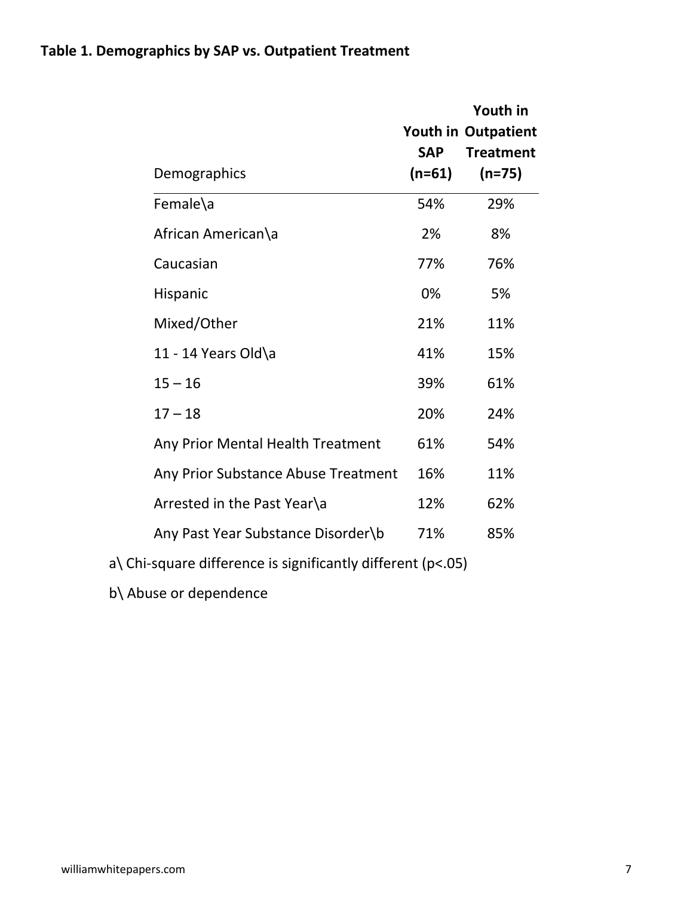|                                                                   |                        | Youth in<br><b>Youth in Outpatient</b> |
|-------------------------------------------------------------------|------------------------|----------------------------------------|
| Demographics                                                      | <b>SAP</b><br>$(n=61)$ | <b>Treatment</b><br>$(n=75)$           |
| Female\a                                                          | 54%                    | 29%                                    |
| African American\a                                                | 2%                     | 8%                                     |
| Caucasian                                                         | 77%                    | 76%                                    |
| Hispanic                                                          | 0%                     | 5%                                     |
| Mixed/Other                                                       | 21%                    | 11%                                    |
| 11 - 14 Years Old\a                                               | 41%                    | 15%                                    |
| $15 - 16$                                                         | 39%                    | 61%                                    |
| $17 - 18$                                                         | 20%                    | 24%                                    |
| Any Prior Mental Health Treatment                                 | 61%                    | 54%                                    |
| Any Prior Substance Abuse Treatment                               | 16%                    | 11%                                    |
| Arrested in the Past Year\a                                       | 12%                    | 62%                                    |
| Any Past Year Substance Disorder\b                                | 71%                    | 85%                                    |
| $a\$ Chi-square difference is significantly different ( $p$ <.05) |                        |                                        |

b\ Abuse or dependence